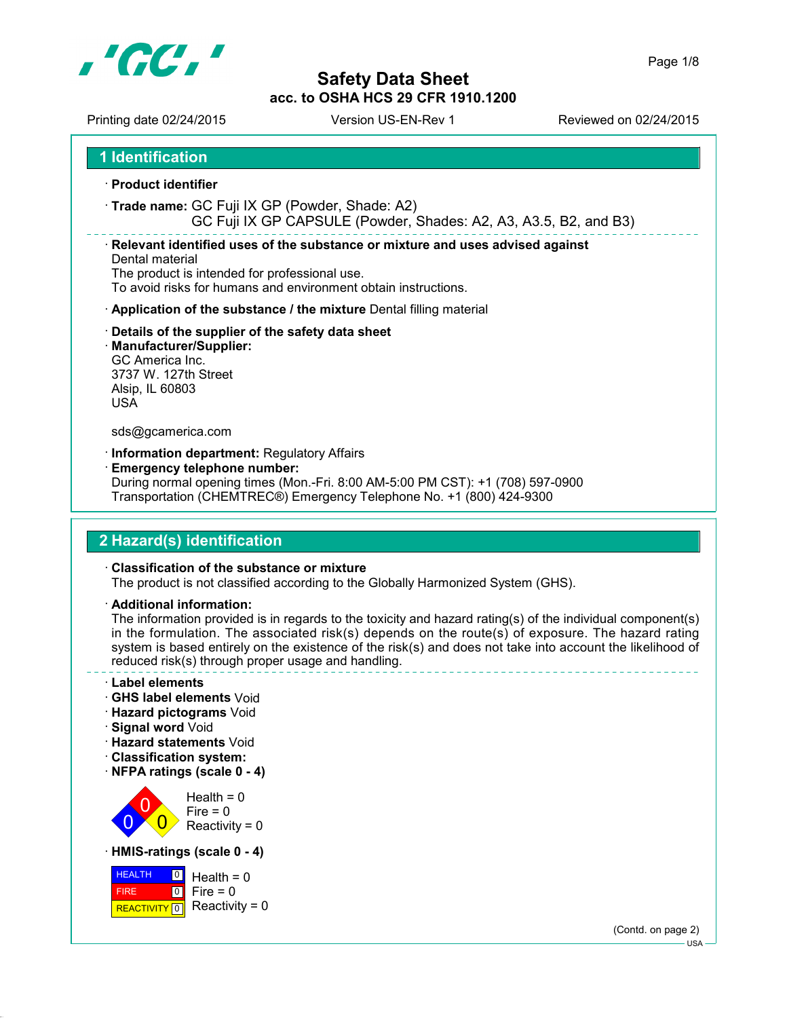

Printing date 02/24/2015 Version US-EN-Rev 1 Reviewed on 02/24/2015

**1 Identification**

- **Product identifier**
- **Trade name:** GC Fuji IX GP (Powder, Shade: A2)

GC Fuji IX GP CAPSULE (Powder, Shades: A2, A3, A3.5, B2, and B3)

**Relevant identified uses of the substance or mixture and uses advised against**

Dental material The product is intended for professional use. To avoid risks for humans and environment obtain instructions.

- **Application of the substance / the mixture** Dental filling material
- **Details of the supplier of the safety data sheet**
- **Manufacturer/Supplier:** GC America Inc. 3737 W. 127th Street Alsip, IL 60803 USA

#### sds@gcamerica.com

- **Information department:** Regulatory Affairs
- **Emergency telephone number:** During normal opening times (Mon.-Fri. 8:00 AM-5:00 PM CST): +1 (708) 597-0900 Transportation (CHEMTREC®) Emergency Telephone No. +1 (800) 424-9300

# **2 Hazard(s) identification**

#### **Classification of the substance or mixture**

The product is not classified according to the Globally Harmonized System (GHS).

**Additional information:**

The information provided is in regards to the toxicity and hazard rating(s) of the individual component(s) in the formulation. The associated risk(s) depends on the route(s) of exposure. The hazard rating system is based entirely on the existence of the risk(s) and does not take into account the likelihood of reduced risk(s) through proper usage and handling.

- **Label elements**
- **GHS label elements** Void
- **Hazard pictograms** Void
- **Signal word** Void
- **Hazard statements** Void
- **Classification system:**
- **NFPA ratings (scale 0 4)**

 $\overline{0}$ 0  $\overline{\mathbf{0}}$  $Health = 0$  $Fire = 0$ Reactivity =  $0$ 

**HMIS-ratings (scale 0 - 4)**



(Contd. on page 2) USA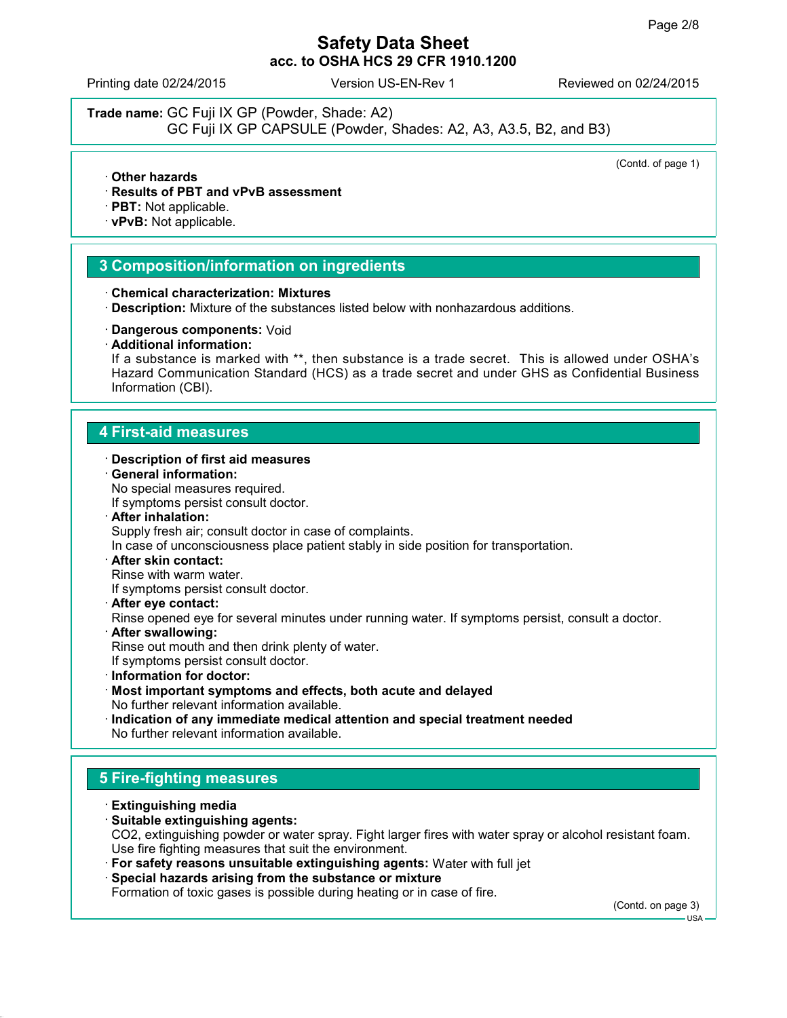Printing date 02/24/2015 Version US-EN-Rev 1 Reviewed on 02/24/2015

**Trade name:** GC Fuji IX GP (Powder, Shade: A2)

GC Fuji IX GP CAPSULE (Powder, Shades: A2, A3, A3.5, B2, and B3)

(Contd. of page 1)

- **Other hazards**
- **Results of PBT and vPvB assessment**
- **PBT:** Not applicable.
- **vPvB:** Not applicable.

#### **3 Composition/information on ingredients**

- **Chemical characterization: Mixtures**
- **Description:** Mixture of the substances listed below with nonhazardous additions.
- **Dangerous components:** Void
- **Additional information:**

If a substance is marked with \*\*, then substance is a trade secret. This is allowed under OSHA's Hazard Communication Standard (HCS) as a trade secret and under GHS as Confidential Business Information (CBI).

#### **4 First-aid measures**

#### **Description of first aid measures**

- **General information:** No special measures required. If symptoms persist consult doctor.
- **After inhalation:** Supply fresh air; consult doctor in case of complaints. In case of unconsciousness place patient stably in side position for transportation.
- **After skin contact:** Rinse with warm water.

If symptoms persist consult doctor.

- **After eye contact:** Rinse opened eye for several minutes under running water. If symptoms persist, consult a doctor.
- **After swallowing:** Rinse out mouth and then drink plenty of water. If symptoms persist consult doctor.
- **Information for doctor:**
- **Most important symptoms and effects, both acute and delayed** No further relevant information available.
- **Indication of any immediate medical attention and special treatment needed** No further relevant information available.

#### **5 Fire-fighting measures**

- **Extinguishing media**
- **Suitable extinguishing agents:**

CO2, extinguishing powder or water spray. Fight larger fires with water spray or alcohol resistant foam. Use fire fighting measures that suit the environment.

- **For safety reasons unsuitable extinguishing agents:** Water with full jet
- **Special hazards arising from the substance or mixture**

Formation of toxic gases is possible during heating or in case of fire.

(Contd. on page 3)

 $-11S_A$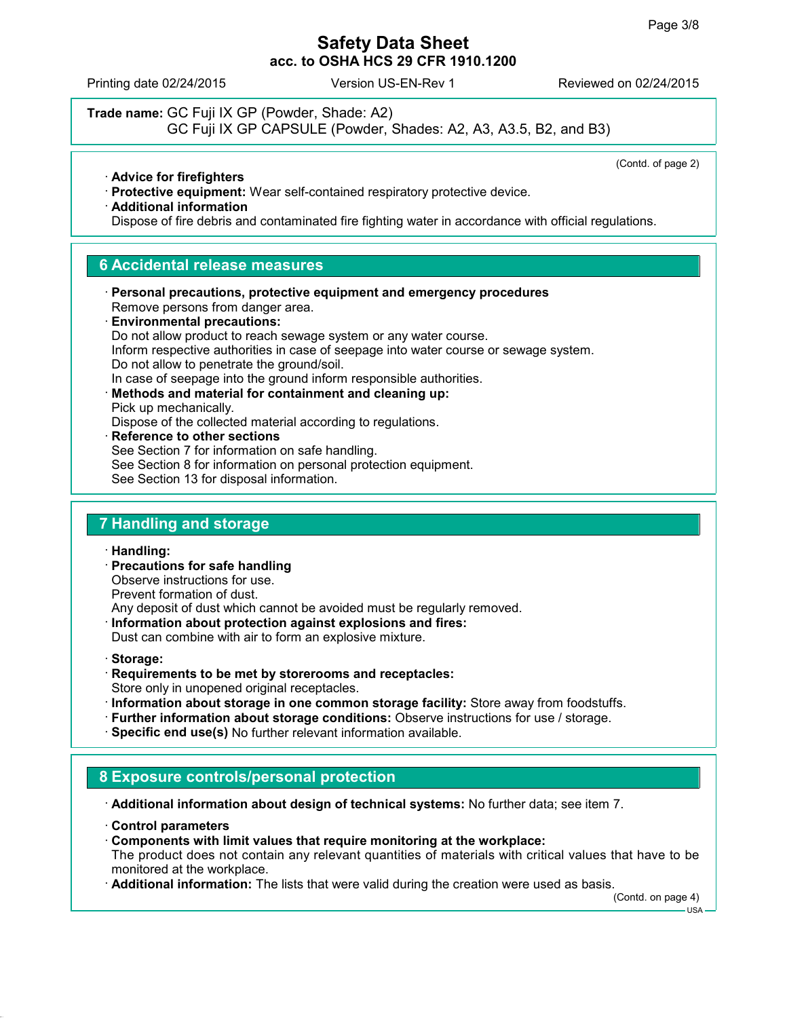Printing date 02/24/2015 Version US-EN-Rev 1 Reviewed on 02/24/2015

**Trade name:** GC Fuji IX GP (Powder, Shade: A2) GC Fuji IX GP CAPSULE (Powder, Shades: A2, A3, A3.5, B2, and B3)

(Contd. of page 2)

- **Advice for firefighters**
- **Protective equipment:** Wear self-contained respiratory protective device.
- **Additional information**

Dispose of fire debris and contaminated fire fighting water in accordance with official regulations.

#### **6 Accidental release measures**

- **Personal precautions, protective equipment and emergency procedures** Remove persons from danger area. **Environmental precautions:** Do not allow product to reach sewage system or any water course.
- Inform respective authorities in case of seepage into water course or sewage system. Do not allow to penetrate the ground/soil.
- In case of seepage into the ground inform responsible authorities.
- **Methods and material for containment and cleaning up:** Pick up mechanically. Dispose of the collected material according to regulations.
- **Reference to other sections** See Section 7 for information on safe handling. See Section 8 for information on personal protection equipment. See Section 13 for disposal information.

### **7 Handling and storage**

- **Handling:**
- **Precautions for safe handling** Observe instructions for use. Prevent formation of dust.

Any deposit of dust which cannot be avoided must be regularly removed.

- **Information about protection against explosions and fires:** Dust can combine with air to form an explosive mixture.
- **Storage:**
- **Requirements to be met by storerooms and receptacles:** Store only in unopened original receptacles.
- **Information about storage in one common storage facility:** Store away from foodstuffs.
- **Further information about storage conditions:** Observe instructions for use / storage.
- **Specific end use(s)** No further relevant information available.

# **8 Exposure controls/personal protection**

**Additional information about design of technical systems:** No further data; see item 7.

- **Control parameters**
- **Components with limit values that require monitoring at the workplace:**
- The product does not contain any relevant quantities of materials with critical values that have to be monitored at the workplace.
- **Additional information:** The lists that were valid during the creation were used as basis.

(Contd. on page 4)

USA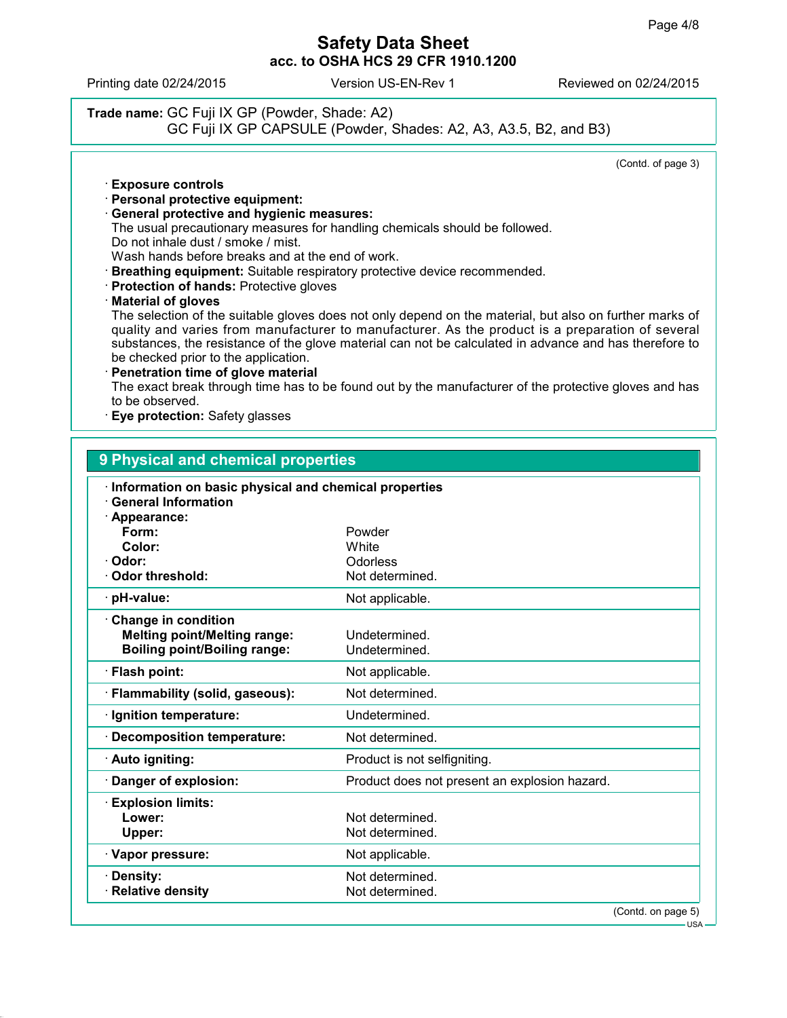Printing date 02/24/2015 Version US-EN-Rev 1 Reviewed on 02/24/2015

# **Trade name:** GC Fuji IX GP (Powder, Shade: A2) GC Fuji IX GP CAPSULE (Powder, Shades: A2, A3, A3.5, B2, and B3)

(Contd. of page 3)

- **Exposure controls**
- **Personal protective equipment:**
- **General protective and hygienic measures:** The usual precautionary measures for handling chemicals should be followed. Do not inhale dust / smoke / mist. Wash hands before breaks and at the end of work.
- **Breathing equipment:** Suitable respiratory protective device recommended.
- **Protection of hands:** Protective gloves

#### **Material of gloves**

The selection of the suitable gloves does not only depend on the material, but also on further marks of quality and varies from manufacturer to manufacturer. As the product is a preparation of several substances, the resistance of the glove material can not be calculated in advance and has therefore to be checked prior to the application.

**Penetration time of glove material**

The exact break through time has to be found out by the manufacturer of the protective gloves and has to be observed.

**Eye protection:** Safety glasses

| 9 Physical and chemical properties                                                                |                                               |
|---------------------------------------------------------------------------------------------------|-----------------------------------------------|
| Information on basic physical and chemical properties<br><b>General Information</b>               |                                               |
| Appearance:<br>Form:                                                                              | Powder                                        |
| Color:                                                                                            | White                                         |
| Odor:                                                                                             | Odorless                                      |
| Odor threshold:                                                                                   | Not determined.                               |
| · pH-value:                                                                                       | Not applicable.                               |
| Change in condition<br><b>Melting point/Melting range:</b><br><b>Boiling point/Boiling range:</b> | Undetermined.<br>Undetermined.                |
| · Flash point:                                                                                    | Not applicable.                               |
| · Flammability (solid, gaseous):                                                                  | Not determined.                               |
| · Ignition temperature:                                                                           | Undetermined.                                 |
| Decomposition temperature:                                                                        | Not determined.                               |
| · Auto igniting:                                                                                  | Product is not selfigniting.                  |
| Danger of explosion:                                                                              | Product does not present an explosion hazard. |
| <b>Explosion limits:</b>                                                                          |                                               |
| Lower:                                                                                            | Not determined.                               |
| Upper:                                                                                            | Not determined.                               |
| · Vapor pressure:                                                                                 | Not applicable.                               |
| Density:                                                                                          | Not determined.                               |
| · Relative density                                                                                | Not determined.                               |
|                                                                                                   | (Contd. on page 5)                            |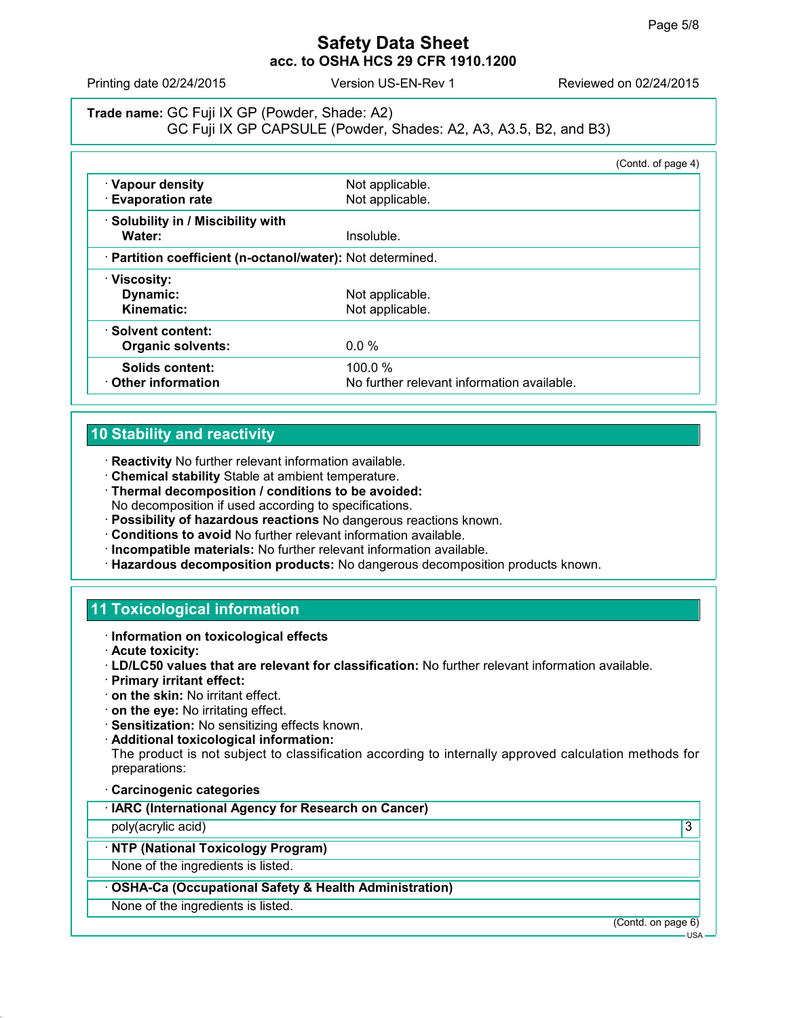Printing date 02/24/2015 Version US-EN-Rev 1 Reviewed on 02/24/2015

### **Trade name:** GC Fuji IX GP (Powder, Shade: A2) GC Fuji IX GP CAPSULE (Powder, Shades: A2, A3, A3.5, B2, and B3)

|                                                            |                                            | (Contd. of page 4) |
|------------------------------------------------------------|--------------------------------------------|--------------------|
| · Vapour density                                           | Not applicable.                            |                    |
| <b>Evaporation rate</b>                                    | Not applicable.                            |                    |
| · Solubility in / Miscibility with                         |                                            |                    |
| Water:                                                     | Insoluble.                                 |                    |
| · Partition coefficient (n-octanol/water): Not determined. |                                            |                    |
| · Viscosity:                                               |                                            |                    |
| Dynamic:                                                   | Not applicable.                            |                    |
| Kinematic:                                                 | Not applicable.                            |                    |
| · Solvent content:                                         |                                            |                    |
| <b>Organic solvents:</b>                                   | $0.0\%$                                    |                    |
| Solids content:                                            | 100.0%                                     |                    |
| Other information                                          | No further relevant information available. |                    |

### **10 Stability and reactivity**

- **Reactivity** No further relevant information available.
- **Chemical stability** Stable at ambient temperature.
- **Thermal decomposition / conditions to be avoided:** No decomposition if used according to specifications.
- **Possibility of hazardous reactions** No dangerous reactions known.
- **Conditions to avoid** No further relevant information available.
- **Incompatible materials:** No further relevant information available.
- **Hazardous decomposition products:** No dangerous decomposition products known.

# **11 Toxicological information**

- **Information on toxicological effects**
- **Acute toxicity:**
- **LD/LC50 values that are relevant for classification:** No further relevant information available.
- **Primary irritant effect:**
- **on the skin:** No irritant effect.
- **on the eye:** No irritating effect.
- **Sensitization:** No sensitizing effects known.
- **Additional toxicological information:**

The product is not subject to classification according to internally approved calculation methods for preparations:

**Carcinogenic categories**

poly(acrylic acid) 3

### **NTP (National Toxicology Program)**

None of the ingredients is listed.

- **OSHA-Ca (Occupational Safety & Health Administration)**
- None of the ingredients is listed.

(Contd. on page 6)

 $-11S_A$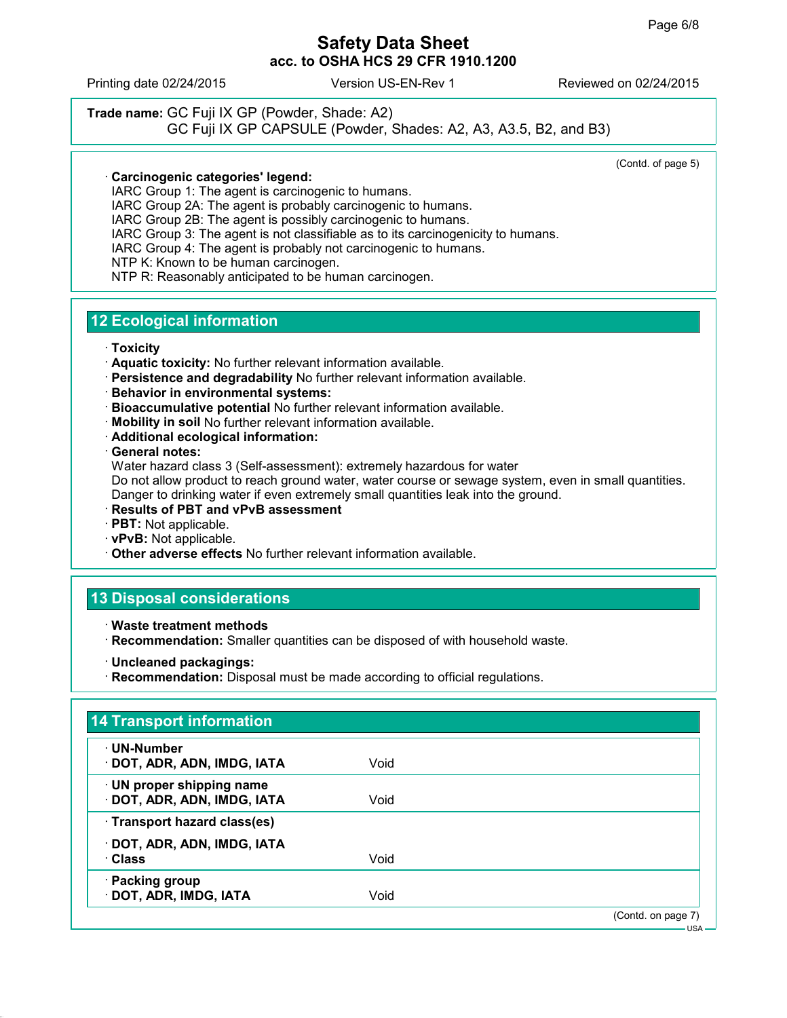Printing date 02/24/2015 Version US-EN-Rev 1 Reviewed on 02/24/2015

#### **Trade name:** GC Fuji IX GP (Powder, Shade: A2) GC Fuji IX GP CAPSULE (Powder, Shades: A2, A3, A3.5, B2, and B3)

(Contd. of page 5)

#### **Carcinogenic categories' legend:**

IARC Group 1: The agent is carcinogenic to humans.

IARC Group 2A: The agent is probably carcinogenic to humans.

IARC Group 2B: The agent is possibly carcinogenic to humans.

IARC Group 3: The agent is not classifiable as to its carcinogenicity to humans.

IARC Group 4: The agent is probably not carcinogenic to humans.

NTP K: Known to be human carcinogen.

NTP R: Reasonably anticipated to be human carcinogen.

### **12 Ecological information**

- **Toxicity**
- **Aquatic toxicity:** No further relevant information available.
- **Persistence and degradability** No further relevant information available.
- **Behavior in environmental systems:**
- **Bioaccumulative potential** No further relevant information available.
- **Mobility in soil** No further relevant information available.
- **Additional ecological information:**

**General notes:**

Water hazard class 3 (Self-assessment): extremely hazardous for water

Do not allow product to reach ground water, water course or sewage system, even in small quantities. Danger to drinking water if even extremely small quantities leak into the ground.

- **Results of PBT and vPvB assessment**
- **PBT:** Not applicable.
- **vPvB:** Not applicable.
- **Other adverse effects** No further relevant information available.

# **13 Disposal considerations**

- **Waste treatment methods**
- **Recommendation:** Smaller quantities can be disposed of with household waste.
- **Uncleaned packagings:**
- **Recommendation:** Disposal must be made according to official regulations.

| · UN-Number                  |      |  |
|------------------------------|------|--|
| · DOT, ADR, ADN, IMDG, IATA  | Void |  |
| · UN proper shipping name    |      |  |
| DOT, ADR, ADN, IMDG, IATA    | Void |  |
| · Transport hazard class(es) |      |  |
| · DOT, ADR, ADN, IMDG, IATA  |      |  |
| · Class                      | Void |  |
| · Packing group              |      |  |
| · DOT, ADR, IMDG, IATA       | Void |  |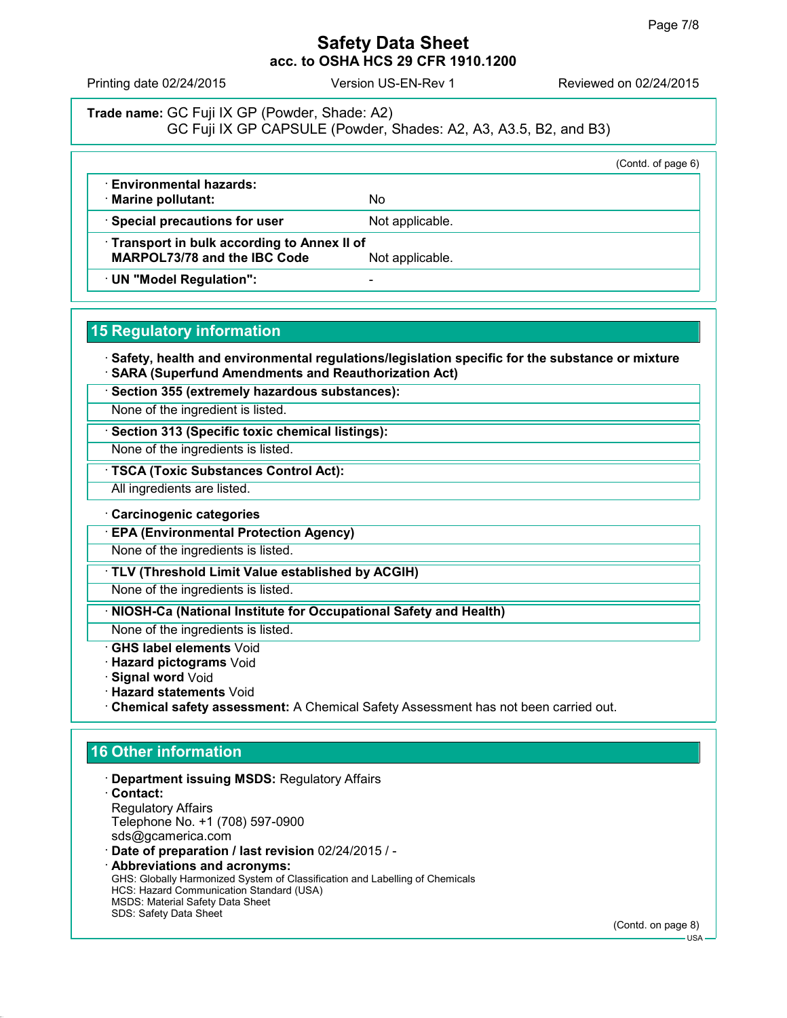Printing date 02/24/2015 Version US-EN-Rev 1 Reviewed on 02/24/2015

## **Trade name:** GC Fuji IX GP (Powder, Shade: A2) GC Fuji IX GP CAPSULE (Powder, Shades: A2, A3, A3.5, B2, and B3)

|                                            |                 | (Contd. of page 6) |
|--------------------------------------------|-----------------|--------------------|
| · Environmental hazards:                   |                 |                    |
| · Marine pollutant:                        | No              |                    |
| · Special precautions for user             | Not applicable. |                    |
| Transport in bulk according to Annex II of |                 |                    |
| <b>MARPOL73/78 and the IBC Code</b>        | Not applicable. |                    |
| UN "Model Regulation":                     |                 |                    |

### **15 Regulatory information**

 **Safety, health and environmental regulations/legislation specific for the substance or mixture SARA (Superfund Amendments and Reauthorization Act)**

**Section 355 (extremely hazardous substances):**

None of the ingredient is listed.

**Section 313 (Specific toxic chemical listings):**

None of the ingredients is listed.

**TSCA (Toxic Substances Control Act):**

All ingredients are listed.

**Carcinogenic categories**

**EPA (Environmental Protection Agency)**

None of the ingredients is listed.

**TLV (Threshold Limit Value established by ACGIH)**

None of the ingredients is listed.

**NIOSH-Ca (National Institute for Occupational Safety and Health)**

None of the ingredients is listed.

**GHS label elements** Void

**Hazard pictograms** Void

**Signal word** Void

**Hazard statements** Void

**Chemical safety assessment:** A Chemical Safety Assessment has not been carried out.

# **16 Other information**

- **Department issuing MSDS:** Regulatory Affairs
- **Contact:** Regulatory Affairs Telephone No. +1 (708) 597-0900 sds@gcamerica.com

**Date of preparation / last revision** 02/24/2015 / -

 **Abbreviations and acronyms:** GHS: Globally Harmonized System of Classification and Labelling of Chemicals HCS: Hazard Communication Standard (USA) MSDS: Material Safety Data Sheet SDS: Safety Data Sheet

(Contd. on page 8)